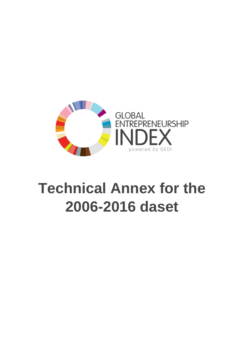

## **Technical Annex for the 2006-2016 daset**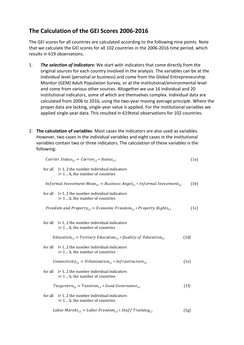## **The Calculation of the GEI Scores 2006-2016**

The GEI scores for all countries are calculated according to the following nine points. Note that we calculate the GEI scores for all 102 countries in the 2006-2016 time period, which results in 619 observations.

- 1. *The selection of indicators:* We start with indicators that come directly from the original sources for each country involved in the analysis. The variables can be at the individual level (personal or business) and come from the Global Entrepreneurship Monitor (GEM) Adult Population Survey, or at the institutional/environmental level and come from various other sources. Altogether we use 16 individual and 20 institutional indicators, some of which are themselves complex. Individual data are calculated from 2006 to 2016, using the two-year moving average principle. Where the proper data are lacking, single-year value is applied. For the institutional variables we applied single-year data. This resulted in 619total observations for 102 countries.
- 2. **The calculation of variables**: Most cases the indicators are also used as variables. However, two cases in the individual variables and eight cases in the institutional variables contain two or three indicators. The calculation of these variables is the following:

|         | Carrier Status <sub>i,l</sub> = Carrier <sub>i,l</sub> * Status <sub>i,l</sub>                                      | (1a) |
|---------|---------------------------------------------------------------------------------------------------------------------|------|
|         | for all $l = 1$ , 2 the number individual indicators<br>$i=1k$ , the number of countries                            |      |
|         | <i>Informal Investment Mean</i> <sub>i,l</sub> = Business Angel <sub>i,l</sub> * Informal Investment <sub>i,l</sub> | (1b) |
| for all | $l = 1$ , 2 the number individual indicators<br>$i=1k$ , the number of countries                                    |      |
|         | Freedom and Property <sub>i,l</sub> = Economic Freedom <sub>i,l</sub> * Property Rights <sub>i,l</sub>              | (1c) |
| for all | $l = 1$ , 2 the number individual indicators<br>$i=1k$ , the number of countries                                    |      |
|         | Education <sub>i,l</sub> = Tertiary Education <sub>i,l</sub> * Quality of Education <sub>i,l</sub>                  | (1d) |
| for all | $l = 1$ , 2 the number individual indicators<br>$i=1k$ , the number of countries                                    |      |
|         | Connectivity <sub>i.l</sub> = Urbanization <sub>i.l</sub> * Infrastructure <sub>i.l</sub>                           | (1e) |
| for all | $l = 1$ , 2 the number individual indicators<br>$i=1k$ , the number of countries                                    |      |
|         | $Taxgover n_{i,l} = Taxation_{i,l} * Good Gover nance_{i,l}$                                                        | (1f) |
| for all | $l = 1$ , 2 the number individual indicators<br>$i=1k$ , the number of countries                                    |      |
|         | Labor Marekt <sub>i.l</sub> = Labor Freedom <sub>i.l</sub> * Staff Training <sub>i.l</sub>                          | (1g) |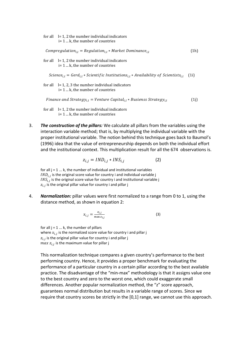|                                                                                                             | for all $\left  \right  = 1$ , 2 the number individual indicators<br>$i=1k$ , the number of countries                             |      |
|-------------------------------------------------------------------------------------------------------------|-----------------------------------------------------------------------------------------------------------------------------------|------|
|                                                                                                             | $Compregulation_{i,l} = Regulation_{i,l} * Market Dominance_{i,l}$                                                                | (1h) |
|                                                                                                             | for all $\left  \right  = 1$ , 2 the number individual indicators<br>$i=1k$ , the number of countries                             |      |
|                                                                                                             | Science <sub>i,1</sub> = Gerd <sub>i,1</sub> * Scientific Institutions <sub>i,1</sub> * Availability of Scientists <sub>i,1</sub> | (1i) |
|                                                                                                             | for all $= 1, 2, 3$ the number individual indicators<br>$i=1k$ , the number of countries                                          |      |
| Finance and Strategy <sub>i1</sub> = Venture Capital <sub>i1</sub> * Busienss Strategy <sub>i1</sub><br>(1) |                                                                                                                                   |      |
|                                                                                                             | for all $l = 1$ , 2 the number individual indicators                                                                              |      |

- i= 1 ... k, the number of countries
- 3. *The construction of the pillars:* We calculate all pillars from the variables using the interaction variable method; that is, by multiplying the individual variable with the proper institutional variable. The notion behind this technique goes back to Baumol's (1996) idea that the value of entrepreneurship depends on both the individual effort and the institutional context. This multiplication result for all the 674 observations is.

$$
z_{i,j} = IND_{i,j} * INS_{i,j}
$$
 (2)

for all  $j = 1 ... k$ , the number of individual and institutional variables  $\mathit{IND}_{i,j}$  is the original score value for country i and individual variable j  $INS_{i,j}$  is the original score value for country i and institutional variable j  $z_{i,j}$  is the original pillar value for country i and pillar j

4. *Normalization:* pillar values were first normalized to a range from 0 to 1, using the distance method, as shown in equation 2:

$$
x_{i,j} = \frac{z_{i,j}}{\max z_{i,j}}\tag{3}
$$

for all  $j = 1...k$ , the number of pillars where  $x_{i,j}$  is the normalized score value for country i and pillar j  $z_{i,j}$  is the original pillar value for country i and pillar j  $max\ z_{i,j}$  is the maximum value for pillar j

This normalization technique compares a given country's performance to the best performing country. Hence, it provides a proper benchmark for evaluating the performance of a particular country in a certain pillar according to the best available practice. The disadvantage of the "min-max" methodology is that it assigns value one to the best country and zero to the worst one, which could exaggerate small differences. Another popular normalization method, the "z" score approach, guarantees normal distribution but results in a variable range of scores. Since we require that country scores be strictly in the [0,1] range, we cannot use this approach.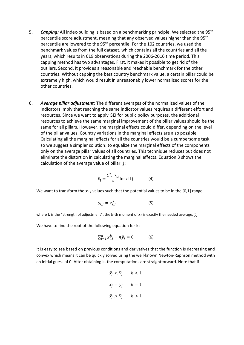- 5. *Capping:* All index-building is based on a benchmarking principle. We selected the 95th percentile score adjustment, meaning that any observed values higher than the 95<sup>th</sup> percentile are lowered to the 95<sup>th</sup> percentile. For the 102 countries, we used the benchmark values from the full dataset, which contains all the countries and all the years, which results in 619 observations during the 2006-2016 time period. This capping method has two advantages. First, it makes it possible to get rid of the outliers. Second, it provides a reasonable and reachable benchmark for the other countries. Without capping the best country benchmark value, a certain pillar could be extremely high, which would result in unreasonably lower normalized scores for the other countries.
- 6. *Average pillar adjustment:* The different averages of the normalized values of the indicators imply that reaching the same indicator values requires a different effort and resources. Since we want to apply GEI for public policy purposes, the additional resources to achieve the same marginal improvement of the pillar values should be the same for all pillars. However, the marginal effects could differ, depending on the level of the pillar values. Country variations in the marginal effects are also possible. Calculating all the marginal effects for all the countries would be a cumbersome task, so we suggest a simpler solution: to equalize the marginal effects of the components only on the average pillar values of all countries. This technique reduces but does not eliminate the distortion in calculating the marginal effects. Equation 3 shows the calculation of the average value of pillar *j* :

$$
\overline{x}_{j} = \frac{\sum_{i=1}^{n} x_{i,j}}{n} \text{ for all } j \tag{4}
$$

We want to transform the  $x_{i,j}$  values such that the potential values to be in the [0,1] range.

$$
y_{i,j} = x_{i,j}^k \tag{5}
$$

where  ${\rm k}$  is the "strength of adjustment", the  ${\rm k}$ -th moment of  $x_j$  is exactly the needed average,  $\bar y_j$ 

We have to find the root of the following equation for k:

$$
\sum_{i=1}^{n} x_{i,j}^{k} - n\overline{y}_{j} = 0 \tag{6}
$$

It is easy to see based on previous conditions and derivatives that the function is decreasing and convex which means it can be quickly solved using the well-known Newton-Raphson method with an initial guess of 0. After obtaining k, the computations are straightforward. Note that if

$$
\bar{x}_j < \bar{y}_j \quad k < 1
$$
\n
$$
\bar{x}_j = \bar{y}_j \quad k = 1
$$
\n
$$
\bar{x}_j > \bar{y}_j \quad k > 1
$$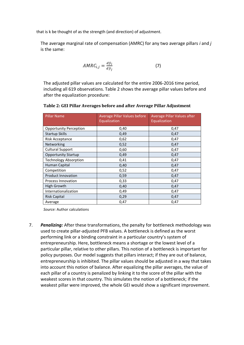that is k be thought of as the strength (and direction) of adjustment.

The average marginal rate of compensation (AMRC) for any two average pillars *i* and *j* is the same:

$$
AMRC_{i,j} = \frac{d\bar{y}_i}{d\bar{y}_j} \tag{7}
$$

The adjusted pillar values are calculated for the entire 2006-2016 time period, including all 619 observations. Table 2 shows the average pillar values before and after the equalization procedure:

| <b>Pillar Name</b>            | <b>Average Pillar Values before</b><br>Equalization | Average Pillar Values after<br>Equalization |  |
|-------------------------------|-----------------------------------------------------|---------------------------------------------|--|
| <b>Opportunity Perception</b> | 0,40                                                | 0,47                                        |  |
| <b>Startup Skills</b>         | 0,49                                                | 0,47                                        |  |
| Risk Acceptance               | 0,62                                                | 0,47                                        |  |
| Networking                    | 0,52                                                | 0,47                                        |  |
| <b>Cultural Support</b>       | 0,60                                                | 0,47                                        |  |
| <b>Opportunity Startup</b>    | 0,49                                                | 0,47                                        |  |
| <b>Technology Absorption</b>  | 0,41                                                | 0,47                                        |  |
| Human Capital                 | 0,40                                                | 0,47                                        |  |
| Competition                   | 0,52<br>0,47                                        |                                             |  |
| <b>Product Innovation</b>     | 0,59<br>0,47                                        |                                             |  |
| Process Innovation            | 0,33                                                | 0,47                                        |  |
| High Growth                   | 0,40                                                | 0,47                                        |  |
| Internationalization          | 0,49                                                | 0,47                                        |  |
| <b>Risk Capital</b>           | 0,29                                                | 0,47                                        |  |
| Average                       | 0,47                                                | 0,47                                        |  |

*Source:* Author calculations

7. *Penalizing:* After these transformations, the penalty for bottleneck methodology was used to create pillar-adjusted PFB values. A bottleneck is defined as the worst performing link or a binding constraint in a particular country's system of entrepreneurship. Here, bottleneck means a shortage or the lowest level of a particular pillar, relative to other pillars. This notion of a bottleneck is important for policy purposes. Our model suggests that pillars interact; if they are out of balance, entrepreneurship is inhibited. The pillar values should be adjusted in a way that takes into account this notion of balance. After equalizing the pillar averages, the value of each pillar of a country is penalized by linking it to the score of the pillar with the weakest scores in that country. This simulates the notion of a bottleneck; if the weakest pillar were improved, the whole GEI would show a significant improvement.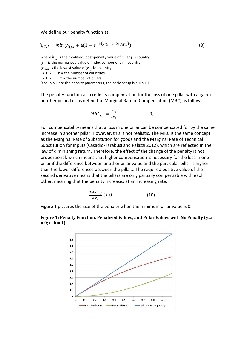We define our penalty function as:

$$
h_{(i),j} = \min y_{(i),j} + a(1 - e^{-b(y_{(i)j} - \min y_{(i),j})})
$$
\n(8)

where  $h_{i,j}$  is the modified, post-penalty value of pillar j in country i  $y_{i,j}$  is the normalized value of index component j in country i  $y_{min}$  is the lowest value of  $y_{i,j}$  for country i  $i = 1, 2, \ldots$ ...  $n =$  the number of countries  $j = 1, 2, \ldots$  m = the number of pillars 0 ≤a, b ≤ 1 are the penalty parameters, the basic setup is a =  $b = 1$ 

The penalty function also reflects compensation for the loss of one pillar with a gain in another pillar. Let us define the Marginal Rate of Compensation (MRC) as follows:

$$
MRC_{i,j} = \frac{dy_i}{dy_j} \tag{9}
$$

Full compensability means that a loss in one pillar can be compensated for by the same increase in another pillar. However, this is not realistic. The MRC is the same concept as the Marginal Rate of Substitution for goods and the Marginal Rate of Technical Substitution for inputs (Casadio-Tarabusi and Palazzi 2012), which are reflected in the law of diminishing return. Therefore, the effect of the change of the penalty is not proportional, which means that higher compensation is necessary for the loss in one pillar if the difference between another pillar value and the particular pillar is higher than the lower differences between the pillars. The required positive value of the second derivative means that the pillars are only partially compensable with each other, meaning that the penalty increases at an increasing rate:

$$
\frac{dMRC_{i,j}}{dy_j} > 0 \tag{10}
$$

Figure 1 pictures the size of the penalty when the minimum pillar value is 0.



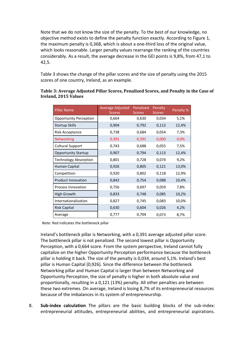Note that we do not know the size of the penalty. To the best of our knowledge, no objective method exists to define the penalty function exactly. According to Figure 1, the maximum penalty is 0,368, which is about a one-third loss of the original value, which looks reasonable. Larger penalty values rearrange the ranking of the countries considerably. As a result, the average decrease in the GEI points is 9,8%, from 47,1 to 42,5.

Table 3 shows the change of the pillar scores and the size of penalty using the 2015 scores of one country, Ireland, as an example.

| <b>Pillar Name</b>            | Average Adjusted<br><b>Scores</b> | Penalized<br><b>Scores</b> | Penalty<br><b>Scores</b> | Penalty % |
|-------------------------------|-----------------------------------|----------------------------|--------------------------|-----------|
| <b>Opportunity Perception</b> | 0,664                             | 0,630                      | 0,034                    | 5,1%      |
| Startup Skills                | 0,904                             | 0,792                      | 0,112                    | 12,4%     |
| Risk Acceptance               | 0,738                             | 0,684                      | 0,054                    | 7,3%      |
| <b>Networking</b>             | 0,391                             | 0,391                      | 0,000                    | 0,0%      |
| <b>Cultural Support</b>       | 0,743                             | 0,688                      | 0,055                    | 7,5%      |
| <b>Opportunity Startup</b>    | 0,907                             | 0,794                      | 0,113                    | 12,4%     |
| <b>Technology Absorption</b>  | 0,801                             | 0,728                      | 0,074                    | 9,2%      |
| Human Capital                 | 0,926                             | 0,805                      | 0,121                    | 13,0%     |
| Competition                   | 0,920                             | 0,802                      | 0,118                    | 12,9%     |
| <b>Product Innovation</b>     | 0,842                             | 0,754                      | 0,088                    | 10,4%     |
| <b>Process Innovation</b>     | 0,756                             | 0,697                      | 0,059                    | 7,8%      |
| <b>High Growth</b>            | 0,833                             | 0,748                      | 0,085                    | 10,2%     |
| Internationalization          | 0,827                             | 0,745                      | 0,083                    | 10,0%     |
| <b>Risk Capital</b>           | 0,630                             | 0,604                      | 0,026                    | 4,2%      |
| Average                       | 0,777                             | 0,704                      | 0,073                    | 8,7%      |

**Table 3: Average Adjusted Pillar Scores, Penalized Scores, and Penalty in the Case of Ireland, 2015 Values**

*Note:* Red indicates the bottleneck pillar

Ireland's bottleneck pillar is Networking, with a 0,391 average adjusted pillar score. The bottleneck pillar is not penalized. The second lowest pillar is Opportunity Perception, with a 0,664 score. From the system perspective, Ireland cannot fully capitalize on the higher Opportunity Perception performance because the bottleneck pillar is holding it back. The size of the penalty is 0,034, around 5,1%. Ireland's best pillar is Human Capital (0,926). Since the difference between the bottleneck Networking pillar and Human Capital is larger than between Networking and Opportunity Perception, the size of penalty is higher in both absolute value and proportionally, resulting in a 0,121 (13%) penalty. All other penalties are between these two extremes. On average, Ireland is losing 8,7% of its entrepreneurial resources because of the imbalances in its system of entrepreneurship.

8. **Sub-index calculation** The pillars are the basic building blocks of the sub-index: entrepreneurial attitudes, entrepreneurial abilities, and entrepreneurial aspirations.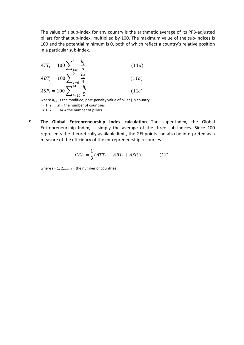The value of a sub-index for any country is the arithmetic average of its PFB-adjusted pillars for that sub-index, multiplied by 100. The maximum value of the sub-indices is 100 and the potential minimum is 0, both of which reflect a country's relative position in a particular sub-index.

$$
ATT_{i} = 100 \sum_{j=1}^{5} \frac{h_{j}}{5}
$$
(11*a*)  
\n
$$
ABT_{i} = 100 \sum_{j=6}^{9} \frac{h_{j}}{4}
$$
(11*b*)  
\n
$$
ASP_{i} = 100 \sum_{j=10}^{14} \frac{h_{j}}{5}
$$
(11*c*)

where  $h_{i,j}$  is the modified, post-penalty value of pillar j in country i i = 1, 2,……n = the number of countries  $j = 1, 2, \ldots, 14$  = the number of pillars

9. **The Global Entrepreneurship Index calculation** The super-index, the Global Entrepreneurship Index, is simply the average of the three sub-indices. Since 100 represents the theoretically available limit, the GEI points can also be interpreted as a measure of the efficiency of the entrepreneurship resources

$$
GEI_i = \frac{1}{3}(ATT_i + ABT_i + ASP_i)
$$
 (12)

where  $i = 1, 2, \ldots$  = the number of countries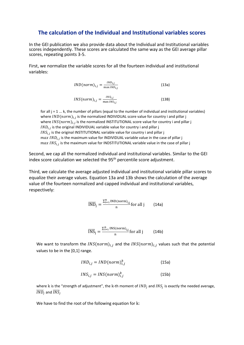## **The calculation of the Individual and Institutional variables scores**

In the GEI publication we also provide data about the Individual and Institutional variables scores independently. These scores are calculated the same way as the GEI average pillar scores, repeating points 3-5.

First, we normalize the variable scores for all the fourteen individual and institutional variables:

$$
IND(norm)_{i,j} = \frac{IND_{i,j}}{\max IND_{i,j}} \tag{13a}
$$

$$
INS(norm)_{i,j} = \frac{INS_{i,j}}{\max INS_{i,j}} \tag{13B}
$$

for all  $j = 1...k$ , the number of pillars (equal to the number of individual and institutional variables) where  $IND(norm)_{i,j}$  is the normalized INDIVIDUAL score value for country i and pillar j where  $INS(norm)_{i,j}$  is the normalized INSTITUTIONAL score value for country i and pillar j  $\mathit{IND}_{i,j}$  is the original INDIVIDUAL variable value for country i and pillar j  $INS_{i,j}$  is the original INSTITUTIONAL variable value for country i and pillar j  $max\; IND_{i,j}$  is the maximum value for INDIVIDUAL variable value in the case of pillar j  $max\,INS_{i,j}$  is the maximum value for INDSTITUTIONAL variable value in the case of pillar j

Second, we cap all the normalized individual and institutional variables. Similar to the GEI index score calculation we selected the 95<sup>th</sup> percentile score adjustment.

Third, we calculate the average adjusted individual and institutional variable pillar scores to equalize their average values. Equation 13a and 13b shows the calculation of the average value of the fourteen normalized and capped individual and institutional variables, respectively:

$$
\overline{\text{IND}}_j = \frac{\sum_{i=1}^n \text{IND}(norm)_{i,j}}{n} \text{ for all } j \qquad (14a)
$$

$$
\overline{\text{INS}}_{j} = \frac{\sum_{i=1}^{n} \text{INS(norm)}_{i,j}}{n} \text{for all } j \tag{14b}
$$

We want to transform the  $INS(norm)_{i,j}$  and the  $INS(norm)_{i,j}$  values such that the potential values to be in the [0,1] range.

$$
IND_{i,j} = IND(norm)^{k}_{i,j}
$$
 (15a)  

$$
INS_{i,j} = INS(norm)^{k}_{i,j}
$$
 (15b)

where k is the "strength of adjustment", the k-th moment of  $IND_j$  and  $INS_j$  is exactly the needed average,  $\overline{IND}_j$  and  $\overline{INS}_j$ 

We have to find the root of the following equation for k: